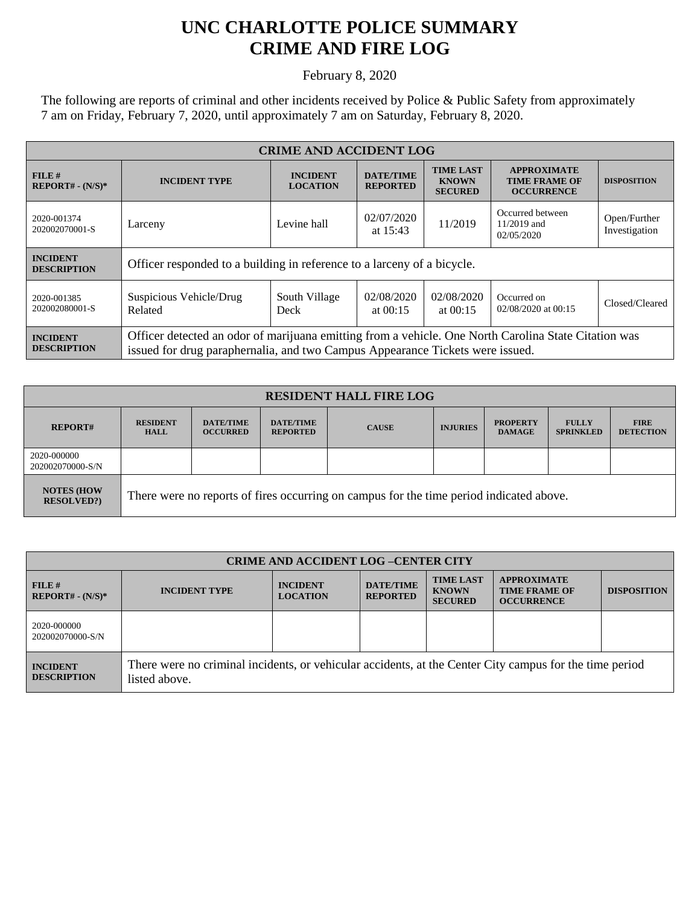## **UNC CHARLOTTE POLICE SUMMARY CRIME AND FIRE LOG**

February 8, 2020

The following are reports of criminal and other incidents received by Police & Public Safety from approximately 7 am on Friday, February 7, 2020, until approximately 7 am on Saturday, February 8, 2020.

| <b>CRIME AND ACCIDENT LOG</b>         |                                                                                                                                                                                       |                                    |                                     |                                                    |                                                                 |                               |
|---------------------------------------|---------------------------------------------------------------------------------------------------------------------------------------------------------------------------------------|------------------------------------|-------------------------------------|----------------------------------------------------|-----------------------------------------------------------------|-------------------------------|
| FILE#<br>$REPORT# - (N/S)*$           | <b>INCIDENT TYPE</b>                                                                                                                                                                  | <b>INCIDENT</b><br><b>LOCATION</b> | <b>DATE/TIME</b><br><b>REPORTED</b> | <b>TIME LAST</b><br><b>KNOWN</b><br><b>SECURED</b> | <b>APPROXIMATE</b><br><b>TIME FRAME OF</b><br><b>OCCURRENCE</b> | <b>DISPOSITION</b>            |
| 2020-001374<br>202002070001-S         | Larceny                                                                                                                                                                               | Levine hall                        | 02/07/2020<br>at $15:43$            | 11/2019                                            | Occurred between<br>11/2019 and<br>02/05/2020                   | Open/Further<br>Investigation |
| <b>INCIDENT</b><br><b>DESCRIPTION</b> | Officer responded to a building in reference to a larceny of a bicycle.                                                                                                               |                                    |                                     |                                                    |                                                                 |                               |
| 2020-001385<br>202002080001-S         | Suspicious Vehicle/Drug<br>Related                                                                                                                                                    | South Village<br>Deck              | 02/08/2020<br>at $00:15$            | 02/08/2020<br>at $00:15$                           | Occurred on<br>02/08/2020 at 00:15                              | Closed/Cleared                |
| <b>INCIDENT</b><br><b>DESCRIPTION</b> | Officer detected an odor of marijuana emitting from a vehicle. One North Carolina State Citation was<br>issued for drug paraphernalia, and two Campus Appearance Tickets were issued. |                                    |                                     |                                                    |                                                                 |                               |

| <b>RESIDENT HALL FIRE LOG</b>         |                                                                                         |                                     |                                     |              |                 |                                  |                                  |                                 |
|---------------------------------------|-----------------------------------------------------------------------------------------|-------------------------------------|-------------------------------------|--------------|-----------------|----------------------------------|----------------------------------|---------------------------------|
| <b>REPORT#</b>                        | <b>RESIDENT</b><br><b>HALL</b>                                                          | <b>DATE/TIME</b><br><b>OCCURRED</b> | <b>DATE/TIME</b><br><b>REPORTED</b> | <b>CAUSE</b> | <b>INJURIES</b> | <b>PROPERTY</b><br><b>DAMAGE</b> | <b>FULLY</b><br><b>SPRINKLED</b> | <b>FIRE</b><br><b>DETECTION</b> |
| 2020-000000<br>202002070000-S/N       |                                                                                         |                                     |                                     |              |                 |                                  |                                  |                                 |
| <b>NOTES (HOW</b><br><b>RESOLVED?</b> | There were no reports of fires occurring on campus for the time period indicated above. |                                     |                                     |              |                 |                                  |                                  |                                 |

| <b>CRIME AND ACCIDENT LOG-CENTER CITY</b> |                                                                                                                          |                                    |                                     |                                                    |                                                                 |                    |
|-------------------------------------------|--------------------------------------------------------------------------------------------------------------------------|------------------------------------|-------------------------------------|----------------------------------------------------|-----------------------------------------------------------------|--------------------|
| FILE#<br>$REPORT# - (N/S)*$               | <b>INCIDENT TYPE</b>                                                                                                     | <b>INCIDENT</b><br><b>LOCATION</b> | <b>DATE/TIME</b><br><b>REPORTED</b> | <b>TIME LAST</b><br><b>KNOWN</b><br><b>SECURED</b> | <b>APPROXIMATE</b><br><b>TIME FRAME OF</b><br><b>OCCURRENCE</b> | <b>DISPOSITION</b> |
| 2020-000000<br>202002070000-S/N           |                                                                                                                          |                                    |                                     |                                                    |                                                                 |                    |
| <b>INCIDENT</b><br><b>DESCRIPTION</b>     | There were no criminal incidents, or vehicular accidents, at the Center City campus for the time period<br>listed above. |                                    |                                     |                                                    |                                                                 |                    |